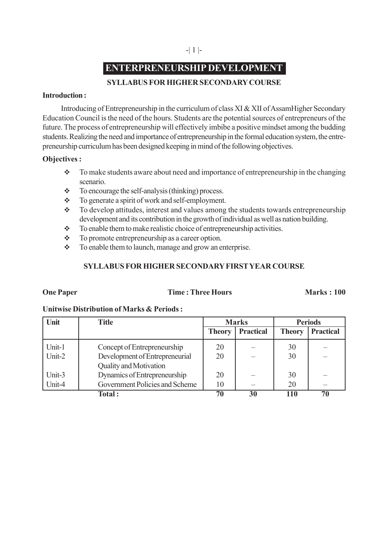# **ENTERPRENEURSHIP DEVELOPMENT**

# **SYLLABUS FOR HIGHER SECONDARY COURSE**

#### **Introduction :**

Introducing of Entrepreneurship in the curriculum of class XI & XII of AssamHigher Secondary Education Council is the need of the hours. Students are the potential sources of entrepreneurs of the future. The process of entrepreneurship will effectively imbibe a positive mindset among the budding students. Realizing the need and importance of entrepreneurship in the formal education system, the entrepreneurship curriculum has been designed keeping in mind of the following objectives.

# **Objectives :**

- To make students aware about need and importance of entrepreneurship in the changing scenario.
- $\div$  To encourage the self-analysis (thinking) process.
- $\div$  To generate a spirit of work and self-employment.
- $\div$  To develop attitudes, interest and values among the students towards entrepreneurship development and its contribution in the growth of individual as well as nation building.
- $\div$  To enable them to make realistic choice of entrepreneurship activities.
- \* To promote entrepreneurship as a career option.
- $\div$  To enable them to launch, manage and grow an enterprise.

# **SYLLABUS FOR HIGHER SECONDARY FIRST YEAR COURSE**

### **One Paper Time : Three Hours Marks : 100**

### **Unitwise Distribution of Marks & Periods :**

| Unit   | <b>Title</b>                   | <b>Marks</b>  |                  | <b>Periods</b> |                  |
|--------|--------------------------------|---------------|------------------|----------------|------------------|
|        |                                | <b>Theory</b> | <b>Practical</b> | <b>Theory</b>  | <b>Practical</b> |
| Unit-1 | Concept of Entrepreneurship    | 20            |                  | 30             |                  |
| Unit-2 | Development of Entrepreneurial | 20            |                  | 30             |                  |
|        | <b>Quality and Motivation</b>  |               |                  |                |                  |
| Unit-3 | Dynamics of Entrepreneurship   | 20            |                  | 30             |                  |
| Unit-4 | Government Policies and Scheme | 10            |                  | 20             |                  |
|        | <b>Total:</b>                  | 70            | 30               | 110            | 70               |